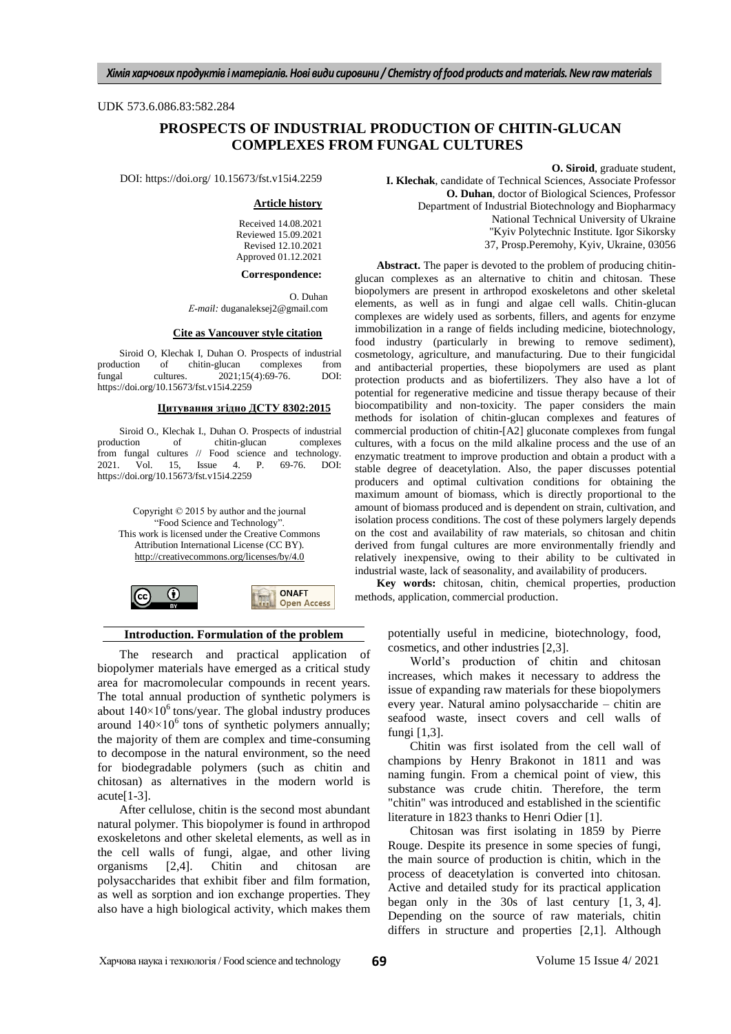## UDK 573.6.086.83:582.284

# **PROSPECTS OF INDUSTRIAL PRODUCTION OF CHITIN-GLUCAN COMPLEXES FROM FUNGAL CULTURES**

DOI: https://doi.org/ 10.15673/fst.v15i4.2259

#### **Article history**

Received 14.08.2021 Reviewed 15.09.2021 Revised 12.10.2021 Approved 01.12.2021

#### **Correspondence:**

O. Duhan *Е-mail:* [duganaleksej2@gmail.com](mailto:duganaleksej2@gmail.com)

#### **Cite as Vancouver style citation**

Siroid O, Klechak I, Duhan O. Prospects of industrial action of chitin-glucan complexes from production of chitin-glucan complexes from<br>fungal cultures.  $2021;15(4):69-76$ . DOI: fungal cultures.  $2021;15(4):69-76$ . https://doi.org/10.15673/fst.v15i4.2259

## **Цитування згідно ДСТУ 8302:2015**

Siroid O., Klechak I., Duhan O. Prospects of industrial production of chitin-glucan complexes of chitin-glucan complexes from fungal cultures // Food science and technology. 2021. Vol. 15, Issue 4. P. 69-76. DOI: https://doi.org/10.15673/fst.v15i4.2259

Copyright © 2015 by author and the journal "Food Science and Technology" This work is licensed under the Creative Commons Attribution International License (CC BY). <http://creativecommons.org/licenses/by/4.0>



### **Introduction. Formulation of the problem**

The research and practical application of biopolymer materials have emerged as a critical study area for macromolecular compounds in recent years. The total annual production of synthetic polymers is about  $140\times10^6$  tons/year. The global industry produces around  $140\times10^6$  tons of synthetic polymers annually; the majority of them are complex and time-consuming to decompose in the natural environment, so the need for biodegradable polymers (such as chitin and chitosan) as alternatives in the modern world is  $acute[1-3]$ .

After cellulose, chitin is the second most abundant natural polymer. This biopolymer is found in arthropod exoskeletons and other skeletal elements, as well as in the cell walls of fungi, algae, and other living organisms [2,4]. Сhitin and chitosan are polysaccharides that exhibit fiber and film formation, as well as sorption and ion exchange properties. They also have a high biological activity, which makes them

**O. Siroid**, graduate student, **I. Klechak**, сandidate of Technical Sciences, Associate Professor **O. Duhan**, doctor of Biological Sciences, Professor Department of Industrial Biotechnology and Biopharmacy National Technical University of Ukraine "Kyiv Polytechnic Institute. Igor Sikorsky 37, Prosp.Peremohy, Kyiv, Ukraine, 03056

**Abstract.** The paper is devoted to the problem of producing chitinglucan complexes as an alternative to chitin and chitosan. These biopolymers are present in arthropod exoskeletons and other skeletal elements, as well as in fungi and algae cell walls. Chitin-glucan complexes are widely used as sorbents, fillers, and agents for enzyme immobilization in a range of fields including medicine, biotechnology, food industry (particularly in brewing to remove sediment), cosmetology, agriculture, and manufacturing. Due to their fungicidal and antibacterial properties, these biopolymers are used as plant protection products and as biofertilizers. They also have a lot of potential for regenerative medicine and tissue therapy because of their biocompatibility and non-toxicity. The paper considers the main methods for isolation of chitin-glucan complexes and features of commercial production of chitin-[A2] gluconate complexes from fungal cultures, with a focus on the mild alkaline process and the use of an enzymatic treatment to improve production and obtain a product with a stable degree of deacetylation. Also, the paper discusses potential producers and optimal cultivation conditions for obtaining the maximum amount of biomass, which is directly proportional to the amount of biomass produced and is dependent on strain, cultivation, and isolation process conditions. The cost of these polymers largely depends on the cost and availability of raw materials, so chitosan and chitin derived from fungal cultures are more environmentally friendly and relatively inexpensive, owing to their ability to be cultivated in industrial waste, lack of seasonality, and availability of producers.

**Key words:** chitosan, chitin, chemical properties, production methods, application, commercial production.

potentially useful in medicine, biotechnology, food, cosmetics, and other industries [2,3].

World's production of chitin and chitosan increases, which makes it necessary to address the issue of expanding raw materials for these biopolymers every year. Natural amino polysaccharide – chitin are seafood waste, insect covers and cell walls of fungi [1,3].

Chitin was first isolated from the cell wall of champions by Henry Brakonot in 1811 and was naming fungin. From a chemical point of view, this substance was crude chitin. Therefore, the term "chitin" was introduced and established in the scientific literature in 1823 thanks to Henri Odier [1].

Chitosan was first isolating in 1859 by Pierre Rouge. Despite its presence in some species of fungi, the main source of production is chitin, which in the process of deacetylation is converted into chitosan. Active and detailed study for its practical application began only in the 30s of last century [1, 3, 4]. Depending on the source of raw materials, chitin differs in structure and properties [2,1]. Although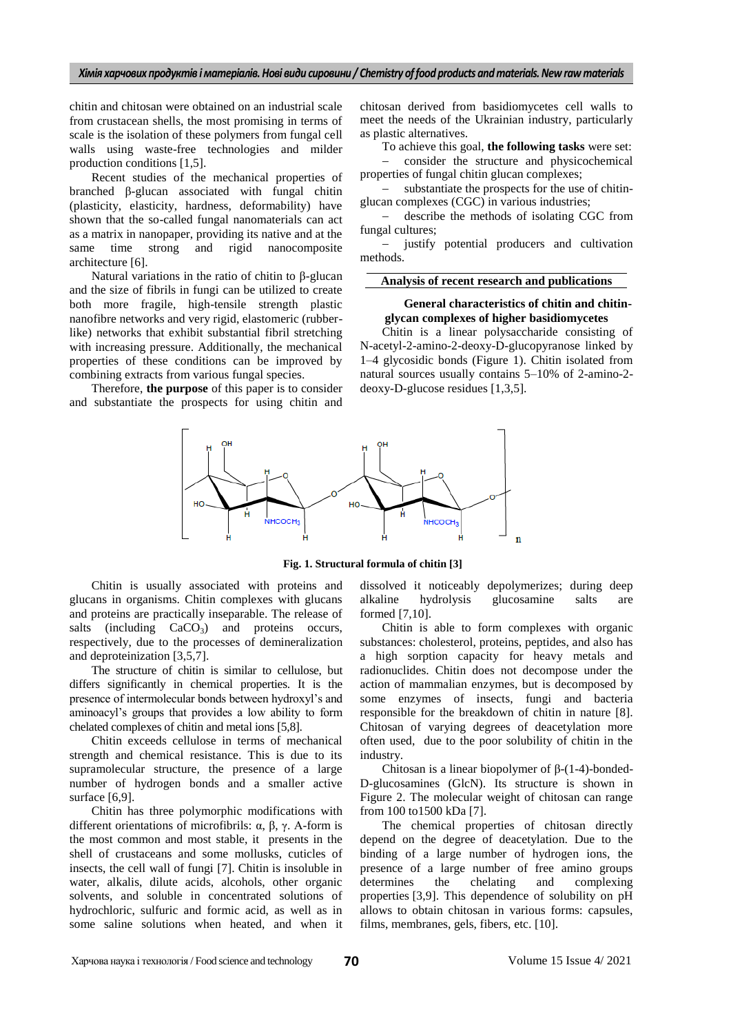chitin and chitosan were obtained on an industrial scale from crustacean shells, the most promising in terms of scale is the isolation of these polymers from fungal cell walls using waste-free technologies and milder production conditions [1,5].

Recent studies of the mechanical properties of branched β-glucan associated with fungal chitin (plasticity, elasticity, hardness, deformability) have shown that the so-called fungal nanomaterials can act as a matrix in nanopaper, providing its native and at the same time strong and rigid nanocomposite architecture [6].

Natural variations in the ratio of chitin to β-glucan and the size of fibrils in fungi can be utilized to create both more fragile, high-tensile strength plastic nanofibre networks and very rigid, elastomeric (rubberlike) networks that exhibit substantial fibril stretching with increasing pressure. Additionally, the mechanical properties of these conditions can be improved by combining extracts from various fungal species.

Therefore, **the purpose** of this paper is to consider and substantiate the prospects for using chitin and chitosan derived from basidiomycetes cell walls to meet the needs of the Ukrainian industry, particularly as plastic alternatives.

To achieve this goal, **the following tasks** were set:

 consider the structure and physicochemical properties of fungal chitin glucan complexes;

 substantiate the prospects for the use of chitinglucan complexes (CGC) in various industries;

 describe the methods of isolating CGC from fungal cultures;

 justify potential producers and cultivation methods.

## **Analysis of recent research and publications**

## **General characteristics of chitin and chitinglycan complexes of higher basidiomycetes**

Chitin is a linear polysaccharide consisting of N-acetyl-2-amino-2-deoxy-D-glucopyranose linked by 1–4 glycosidic bonds (Figure 1). Chitin isolated from natural sources usually contains 5–10% of 2-amino-2 deoxy-D-glucose residues [1,3,5].



**Fig. 1. Structural formula of chitin [3]**

Chitin is usually associated with proteins and glucans in organisms. Chitin complexes with glucans and proteins are practically inseparable. The release of salts (including  $CaCO<sub>3</sub>$ ) and proteins occurs, respectively, due to the processes of demineralization and deproteinization [3,5,7].

The structure of chitin is similar to cellulose, but differs significantly in chemical properties. It is the presence of intermolecular bonds between hydroxyl's and aminoacyl's groups that provides a low ability to form chelated complexes of chitin and metal ions [5,8].

Сhitin exceeds cellulose in terms of mechanical strength and chemical resistance. This is due to its supramolecular structure, the presence of a large number of hydrogen bonds and a smaller active surface [6,9].

Chitin has three polymorphic modifications with different orientations of microfibrils: α, β, γ. Α-form is the most common and most stable, it presents in the shell of crustaceans and some mollusks, cuticles of insects, the cell wall of fungi [7]. Chitin is insoluble in water, alkalis, dilute acids, alcohols, other organic solvents, and soluble in concentrated solutions of hydrochloric, sulfuric and formic acid, as well as in some saline solutions when heated, and when it dissolved it noticeably depolymerizes; during deep alkaline hydrolysis glucosamine salts are formed [7,10].

Chitin is able to form complexes with organic substances: cholesterol, proteins, peptides, and also has a high sorption capacity for heavy metals and radionuclides. Chitin does not decompose under the action of mammalian enzymes, but is decomposed by some enzymes of insects, fungi and bacteria responsible for the breakdown of chitin in nature [8]. Chitosan of varying degrees of deacetylation more often used, due to the poor solubility of chitin in the industry.

Chitosan is a linear biopolymer of β-(1-4)-bonded-D-glucosamines (GlcN). Its structure is shown in Figure 2. The molecular weight of chitosan can range from 100 to1500 kDa [7].

The chemical properties of chitosan directly depend on the degree of deacetylation. Due to the binding of a large number of hydrogen ions, the presence of a large number of free amino groups determines the chelating and complexing properties [3,9]. This dependence of solubility on pH allows to obtain chitosan in various forms: capsules, films, membranes, gels, fibers, etc. [10].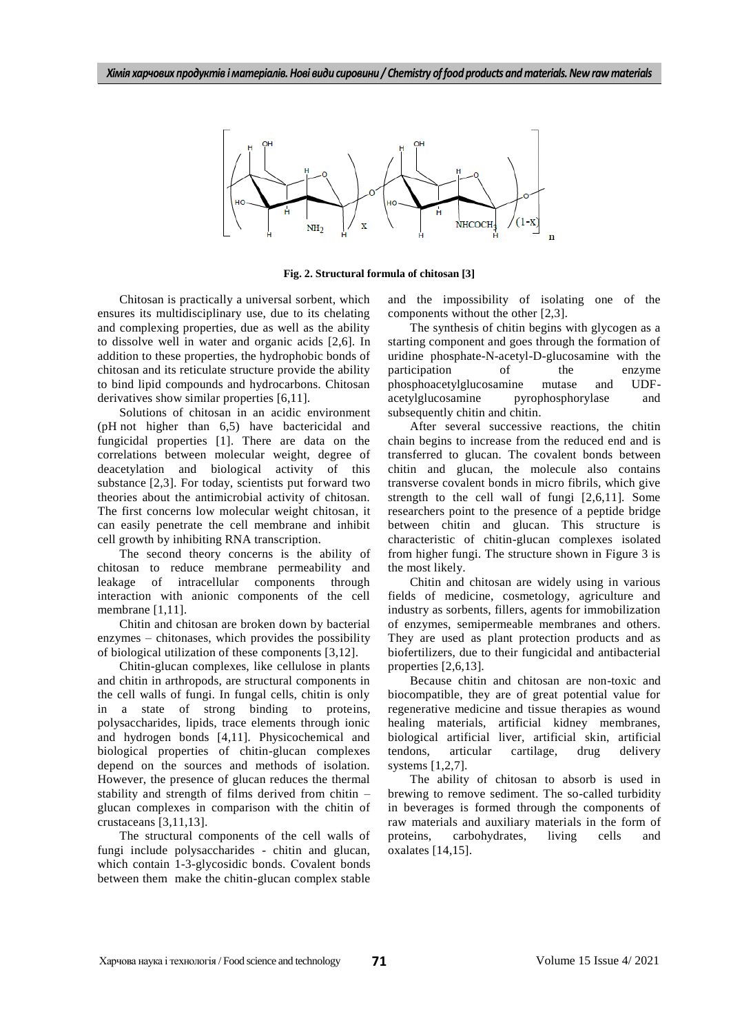

**Fig. 2. Structural formula of chitosan [3]**

Chitosan is practically a universal sorbent, which ensures its multidisciplinary use, due to its chelating and complexing properties, due as well as the ability to dissolve well in water and organic acids [2,6]. In addition to these properties, the hydrophobic bonds of chitosan and its reticulate structure provide the ability to bind lipid compounds and hydrocarbons. Chitosan derivatives show similar properties [6,11].

Solutions of chitosan in an acidic environment (pH not higher than 6,5) have bactericidal and fungicidal properties [1]. There are data on the correlations between molecular weight, degree of deacetylation and biological activity of this substance [2,3]. For today, scientists put forward two theories about the antimicrobial activity of chitosan. The first concerns low molecular weight chitosan, it can easily penetrate the cell membrane and inhibit cell growth by inhibiting RNA transcription.

The second theory concerns is the ability of chitosan to reduce membrane permeability and leakage of intracellular components through interaction with anionic components of the cell membrane [1,11].

Chitin and chitosan are broken down by bacterial enzymes – chitonases, which provides the possibility of biological utilization of these components [3,12].

Chitin-glucan complexes, like cellulose in plants and chitin in arthropods, are structural components in the cell walls of fungi. In fungal cells, chitin is only in a state of strong binding to proteins, polysaccharides, lipids, trace elements through ionic and hydrogen bonds [4,11]. Physicochemical and biological properties of chitin-glucan complexes depend on the sources and methods of isolation. However, the presence of glucan reduces the thermal stability and strength of films derived from chitin – glucan complexes in comparison with the chitin of crustaceans [3,11,13].

The structural components of the cell walls of fungi include polysaccharides - chitin and glucan, which contain 1-3-glycosidic bonds. Сovalent bonds between them make the chitin-glucan complex stable

and the impossibility of isolating one of the components without the other [2,3].

The synthesis of chitin begins with glycogen as a starting component and goes through the formation of uridine phosphate-N-acetyl-D-glucosamine with the participation of the enzyme participation of the phosphoacetylglucosamine mutase and UDFacetylglucosamine pyrophosphorylase and subsequently chitin and chitin.

After several successive reactions, the chitin chain begins to increase from the reduced end and is transferred to glucan. The covalent bonds between chitin and glucan, the molecule also contains transverse covalent bonds in micro fibrils, which give strength to the cell wall of fungi [2,6,11]. Some researchers point to the presence of a peptide bridge between chitin and glucan. This structure is characteristic of chitin-glucan complexes isolated from higher fungi. The structure shown in Figure 3 is the most likely.

Chitin and chitosan are widely using in various fields of medicine, cosmetology, agriculture and industry as sorbents, fillers, agents for immobilization of enzymes, semipermeable membranes and others. They are used as plant protection products and as biofertilizers, due to their fungicidal and antibacterial properties [2,6,13].

Because chitin and chitosan are non-toxic and biocompatible, they are of great potential value for regenerative medicine and tissue therapies as wound healing materials, artificial kidney membranes, biological artificial liver, artificial skin, artificial tendons, articular cartilage, drug delivery systems [1,2,7].

The ability of chitosan to absorb is used in brewing to remove sediment. The so-called turbidity in beverages is formed through the components of raw materials and auxiliary materials in the form of proteins, carbohydrates, living cells and oxalates [14,15].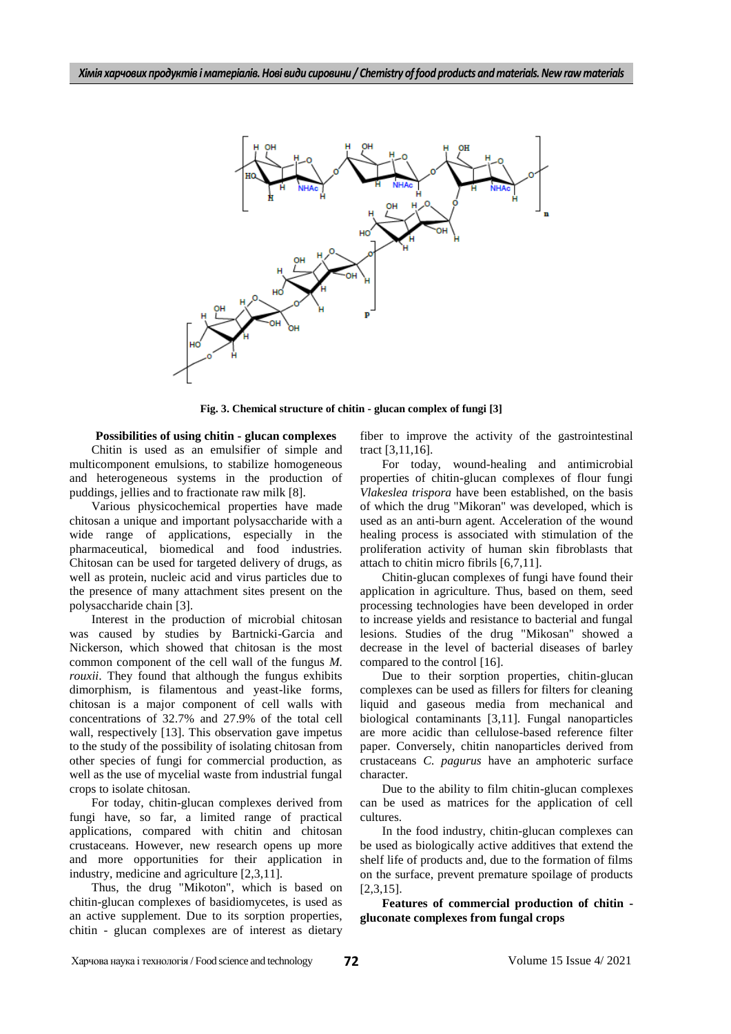

**Fig. 3. Chemical structure of chitin - glucan complex of fungi [3]**

**Possibilities of using chitin - glucan complexes** Chitin is used as an emulsifier of simple and multicomponent emulsions, to stabilize homogeneous and heterogeneous systems in the production of puddings, jellies and to fractionate raw milk [8].

Various physicochemical properties have made chitosan a unique and important polysaccharide with a wide range of applications, especially in the pharmaceutical, biomedical and food industries. Chitosan can be used for targeted delivery of drugs, as well as protein, nucleic acid and virus particles due to the presence of many attachment sites present on the polysaccharide chain [3].

Interest in the production of microbial chitosan was caused by studies by Bartnicki-Garcia and Nickerson, which showed that chitosan is the most common component of the cell wall of the fungus *M. rouxii*. They found that although the fungus exhibits dimorphism, is filamentous and yeast-like forms, chitosan is a major component of cell walls with concentrations of 32.7% and 27.9% of the total cell wall, respectively [13]. This observation gave impetus to the study of the possibility of isolating chitosan from other species of fungi for commercial production, as well as the use of mycelial waste from industrial fungal crops to isolate chitosan.

For today, chitin-glucan complexes derived from fungi have, so far, a limited range of practical applications, compared with chitin and chitosan crustaceans. However, new research opens up more and more opportunities for their application in industry, medicine and agriculture [2,3,11].

Thus, the drug "Mikoton", which is based on chitin-glucan complexes of basidiomycetes, is used as an active supplement. Due to its sorption properties, chitin - glucan complexes are of interest as dietary fiber to improve the activity of the gastrointestinal tract [3,11,16].

For today, wound-healing and antimicrobial properties of chitin-glucan complexes of flour fungi *Vlakeslea trispora* have been established, on the basis of which the drug "Mikoran" was developed, which is used as an anti-burn agent. Acceleration of the wound healing process is associated with stimulation of the proliferation activity of human skin fibroblasts that attach to chitin micro fibrils [6,7,11].

Chitin-glucan complexes of fungi have found their application in agriculture. Thus, based on them, seed processing technologies have been developed in order to increase yields and resistance to bacterial and fungal lesions. Studies of the drug "Mikosan" showed a decrease in the level of bacterial diseases of barley compared to the control [16].

Due to their sorption properties, chitin-glucan complexes can be used as fillers for filters for cleaning liquid and gaseous media from mechanical and biological contaminants [3,11]. Fungal nanoparticles are more acidic than cellulose-based reference filter paper. Conversely, chitin nanoparticles derived from crustaceans *C. pagurus* have an amphoteric surface character.

Due to the ability to film chitin-glucan complexes can be used as matrices for the application of cell cultures.

In the food industry, chitin-glucan complexes can be used as biologically active additives that extend the shelf life of products and, due to the formation of films on the surface, prevent premature spoilage of products [2,3,15].

**Features of commercial production of chitin gluconate complexes from fungal crops**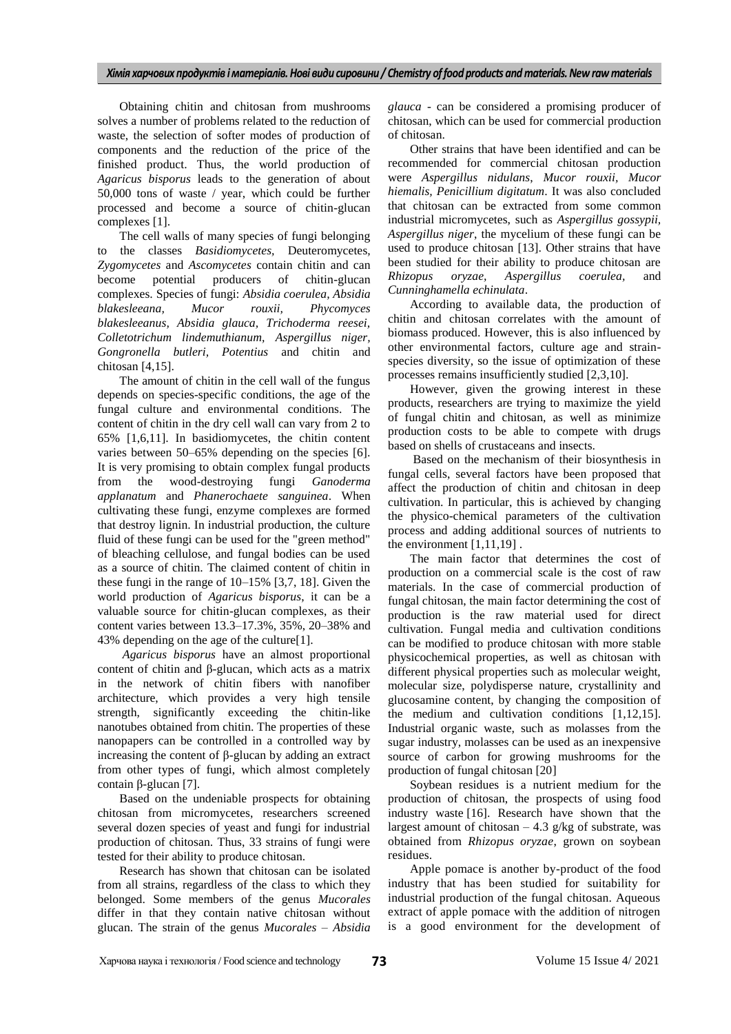Obtaining chitin and chitosan from mushrooms solves a number of problems related to the reduction of waste, the selection of softer modes of production of components and the reduction of the price of the finished product. Thus, the world production of *Agaricus bisporus* leads to the generation of about 50,000 tons of waste / year, which could be further processed and become a source of chitin-glucan complexes [1].

The cell walls of many species of fungi belonging to the classes *Basidiomycetes,* Deuteromycetes*, Zygomycetes* and *Ascomycetes* contain chitin and can become potential producers of chitin-glucan complexes. Species of fungi: *Absidia coerulea, Absidia blakesleeana, Mucor rouxii, Phycomyces blakesleeanus, Absidia glauca, Trichoderma reesei, Colletotrichum lindemuthianum, Aspergillus niger, Gongronella butleri, Potentius* and chitin and chitosan [4,15].

The amount of chitin in the cell wall of the fungus depends on species-specific conditions, the age of the fungal culture and environmental conditions. The content of chitin in the dry cell wall can vary from 2 to 65% [1,6,11]. In basidiomycetes, the chitin content varies between 50–65% depending on the species [6]. It is very promising to obtain complex fungal products from the wood-destroying fungi *Ganoderma applanatum* and *Phanerochaete sanguinea*. When cultivating these fungi, enzyme complexes are formed that destroy lignin. In industrial production, the culture fluid of these fungi can be used for the "green method" of bleaching cellulose, and fungal bodies can be used as a source of chitin. The claimed content of chitin in these fungi in the range of 10–15% [3,7, 18]. Given the world production of *Agaricus bisporus*, it can be a valuable source for chitin-glucan complexes, as their content varies between 13.3–17.3%, 35%, 20–38% and 43% depending on the age of the culture[1].

*Agaricus bisporus* have an almost proportional content of chitin and β-glucan, which acts as a matrix in the network of chitin fibers with nanofiber architecture, which provides a very high tensile strength, significantly exceeding the chitin-like nanotubes obtained from chitin. The properties of these nanopapers can be controlled in a controlled way by increasing the content of β-glucan by adding an extract from other types of fungi, which almost completely contain β-glucan [7].

Based on the undeniable prospects for obtaining chitosan from micromycetes, researchers screened several dozen species of yeast and fungi for industrial production of chitosan. Thus, 33 strains of fungi were tested for their ability to produce chitosan.

Research has shown that chitosan can be isolated from all strains, regardless of the class to which they belonged. Some members of the genus *Mucorales* differ in that they contain native chitosan without glucan. The strain of the genus *Mucorales – Absidia*  *glauca* - can be considered a promising producer of chitosan, which can be used for commercial production of chitosan.

Other strains that have been identified and can be recommended for commercial chitosan production were *Aspergillus nidulans*, *Mucor rouxii, Mucor hiemalis, Penicillium digitatum*. It was also concluded that chitosan can be extracted from some common industrial micromycetes, such as *Aspergillus gossypii, Aspergillus niger*, the mycelium of these fungi can be used to produce chitosan [13]. Other strains that have been studied for their ability to produce chitosan are *Rhizopus oryzae, Aspergillus coerulea,* and *Cunninghamella echinulata*.

According to available data, the production of chitin and chitosan correlates with the amount of biomass produced. However, this is also influenced by other environmental factors, culture age and strainspecies diversity, so the issue of optimization of these processes remains insufficiently studied [2,3,10].

However, given the growing interest in these products, researchers are trying to maximize the yield of fungal chitin and chitosan, as well as minimize production costs to be able to compete with drugs based on shells of crustaceans and insects.

Based on the mechanism of their biosynthesis in fungal cells, several factors have been proposed that affect the production of chitin and chitosan in deep cultivation. In particular, this is achieved by changing the physico-chemical parameters of the cultivation process and adding additional sources of nutrients to the environment  $[1,11,19]$ .

The main factor that determines the cost of production on a commercial scale is the cost of raw materials. In the case of commercial production of fungal chitosan, the main factor determining the cost of production is the raw material used for direct cultivation. Fungal media and cultivation conditions can be modified to produce chitosan with more stable physicochemical properties, as well as chitosan with different physical properties such as molecular weight, molecular size, polydisperse nature, crystallinity and glucosamine content, by changing the composition of the medium and cultivation conditions [1,12,15]. Industrial organic waste, such as molasses from the sugar industry, molasses can be used as an inexpensive source of carbon for growing mushrooms for the production of fungal chitosan [20]

Soybean residues is a nutrient medium for the production of chitosan, the prospects of using food industry waste [16]. Research have shown that the largest amount of chitosan  $-4.3$  g/kg of substrate, was obtained from *Rhizopus oryzae*, grown on soybean residues.

Apple pomace is another by-product of the food industry that has been studied for suitability for industrial production of the fungal chitosan. Aqueous extract of apple pomace with the addition of nitrogen is a good environment for the development of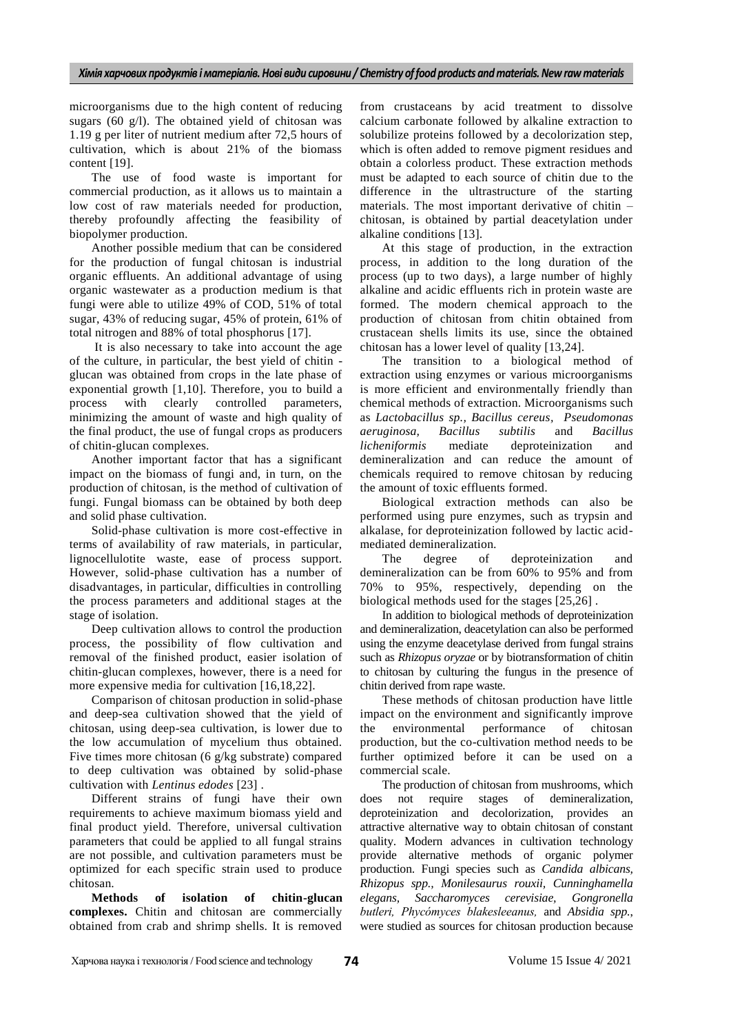microorganisms due to the high content of reducing sugars (60 g/l). The obtained yield of chitosan was 1.19 g per liter of nutrient medium after 72,5 hours of cultivation, which is about 21% of the biomass content [19].

The use of food waste is important for commercial production, as it allows us to maintain a low cost of raw materials needed for production, thereby profoundly affecting the feasibility of biopolymer production.

Another possible medium that can be considered for the production of fungal chitosan is industrial organic effluents. An additional advantage of using organic wastewater as a production medium is that fungi were able to utilize 49% of COD, 51% of total sugar, 43% of reducing sugar, 45% of protein, 61% of total nitrogen and 88% of total phosphorus [17].

It is also necessary to take into account the age of the culture, in particular, the best yield of chitin glucan was obtained from crops in the late phase of exponential growth [1,10]. Therefore, you to build a process with clearly controlled parameters, minimizing the amount of waste and high quality of the final product, the use of fungal crops as producers of chitin-glucan complexes.

Another important factor that has a significant impact on the biomass of fungi and, in turn, on the production of chitosan, is the method of cultivation of fungi. Fungal biomass can be obtained by both deep and solid phase cultivation.

Solid-phase cultivation is more cost-effective in terms of availability of raw materials, in particular, lignocellulotite waste, ease of process support. However, solid-phase cultivation has a number of disadvantages, in particular, difficulties in controlling the process parameters and additional stages at the stage of isolation.

Deep cultivation allows to control the production process, the possibility of flow cultivation and removal of the finished product, easier isolation of chitin-glucan complexes, however, there is a need for more expensive media for cultivation [16,18,22].

Comparison of chitosan production in solid-phase and deep-sea cultivation showed that the yield of chitosan, using deep-sea cultivation, is lower due to the low accumulation of mycelium thus obtained. Five times more chitosan (6 g/kg substrate) compared to deep cultivation was obtained by solid-phase cultivation with *Lentinus edodes* [23] .

Different strains of fungi have their own requirements to achieve maximum biomass yield and final product yield. Therefore, universal cultivation parameters that could be applied to all fungal strains are not possible, and cultivation parameters must be optimized for each specific strain used to produce chitosan.

**Methods of isolation of chitin-glucan complexes.** Chitin and chitosan are commercially obtained from crab and shrimp shells. It is removed

from crustaceans by acid treatment to dissolve calcium carbonate followed by alkaline extraction to solubilize proteins followed by a decolorization step, which is often added to remove pigment residues and obtain a colorless product. These extraction methods must be adapted to each source of chitin due to the difference in the ultrastructure of the starting materials. The most important derivative of chitin – chitosan, is obtained by partial deacetylation under alkaline conditions [13].

At this stage of production, in the extraction process, in addition to the long duration of the process (up to two days), a large number of highly alkaline and acidic effluents rich in protein waste are formed. The modern chemical approach to the production of chitosan from chitin obtained from crustacean shells limits its use, since the obtained chitosan has a lower level of quality [13,24].

The transition to a biological method of extraction using enzymes or various microorganisms is more efficient and environmentally friendly than chemical methods of extraction. Microorganisms such as *Lactobacillus sp., Bacillus cereus, Pseudomonas aeruginosa, Bacillus subtilis* and *Bacillus licheniformis* mediate deproteinization and demineralization and can reduce the amount of chemicals required to remove chitosan by reducing the amount of toxic effluents formed.

Biological extraction methods can also be performed using pure enzymes, such as trypsin and alkalase, for deproteinization followed by lactic acidmediated demineralization.

The degree of deproteinization and demineralization can be from 60% to 95% and from 70% to 95%, respectively, depending on the biological methods used for the stages [25,26] .

In addition to biological methods of deproteinization and demineralization, deacetylation can also be performed using the enzyme deacetylase derived from fungal strains such as *Rhizopus oryzae* or by biotransformation of chitin to chitosan by culturing the fungus in the presence of chitin derived from rape waste.

These methods of chitosan production have little impact on the environment and significantly improve the environmental performance of chitosan production, but the co-cultivation method needs to be further optimized before it can be used on a commercial scale.

The production of chitosan from mushrooms, which does not require stages of demineralization, deproteinization and decolorization, provides an attractive alternative way to obtain chitosan of constant quality. Modern advances in cultivation technology provide alternative methods of organic polymer production. Fungi species such as *Candida albicans, Rhizopus spp., Monilesaurus rouxii, Cunninghamella elegans, Saccharomyces cerevisiae, Gongronella butleri, Phycómyces blakesleeanus,* and *Absidia spp.*, were studied as sources for chitosan production because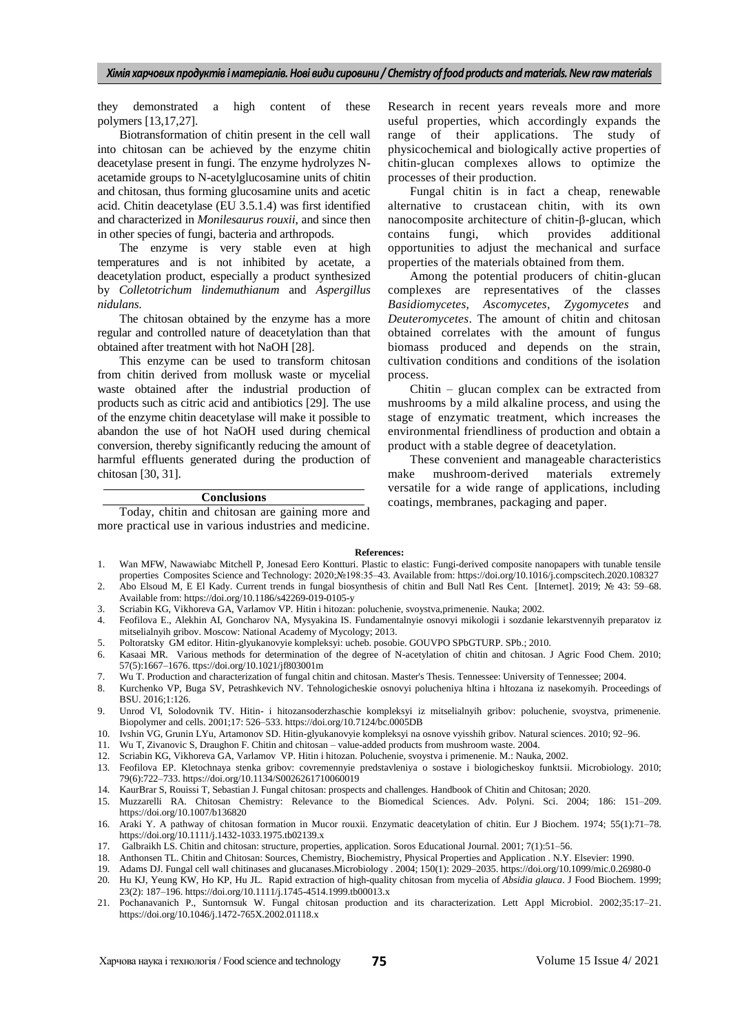they demonstrated a high content of these polymers [13,17,27].

Biotransformation of chitin present in the cell wall into chitosan can be achieved by the enzyme chitin deacetylase present in fungi. The enzyme hydrolyzes Nacetamide groups to N-acetylglucosamine units of chitin and chitosan, thus forming glucosamine units and acetic acid. Chitin deacetylase (EU 3.5.1.4) was first identified and characterized in *Monilesaurus rouxii*, and since then in other species of fungi, bacteria and arthropods.

The enzyme is very stable even at high temperatures and is not inhibited by acetate, a deacetylation product, especially a product synthesized by *Colletotrichum lindemuthianum* and *Aspergillus nidulans*.

The chitosan obtained by the enzyme has a more regular and controlled nature of deacetylation than that obtained after treatment with hot NaOH [28].

This enzyme can be used to transform chitosan from chitin derived from mollusk waste or mycelial waste obtained after the industrial production of products such as citric acid and antibiotics [29]. The use of the enzyme chitin deacetylase will make it possible to abandon the use of hot NaOH used during chemical conversion, thereby significantly reducing the amount of harmful effluents generated during the production of chitosan [30, 31].

## **Conclusions**

Today, chitin and chitosan are gaining more and more practical use in various industries and medicine.

Research in recent years reveals more and more useful properties, which accordingly expands the range of their applications. The study of physicochemical and biologically active properties of chitin-glucan complexes allows to optimize the processes of their production.

Fungal chitin is in fact a cheap, renewable alternative to crustacean chitin, with its own nanocomposite architecture of chitin-β-glucan, which contains fungi, which provides additional opportunities to adjust the mechanical and surface properties of the materials obtained from them.

Among the potential producers of chitin-glucan complexes are representatives of the classes *Basidiomycetes, Ascomycetes, Zygomycetes* and *Deuteromycetes*. The amount of chitin and chitosan obtained correlates with the amount of fungus biomass produced and depends on the strain, cultivation conditions and conditions of the isolation process.

Chitin – glucan complex can be extracted from mushrooms by a mild alkaline process, and using the stage of enzymatic treatment, which increases the environmental friendliness of production and obtain a product with a stable degree of deacetylation.

These convenient and manageable characteristics make mushroom-derived materials extremely versatile for a wide range of applications, including coatings, membranes, packaging and paper.

#### **References:**

- 1. Wan MFW, Nawawiabc Mitchell P, Jonesad Eero Kontturi. Plastic to elastic: Fungi-derived composite nanopapers with tunable tensile properties Composites Science and Technology: 2020;№198:35–43. Available from: <https://doi.org/10.1016/j.compscitech.2020.108327>
- 2. Abo Elsoud M, E El Kady. Current trends in fungal biosynthesis of chitin and Bull Natl Res Cent. [Internet]. 2019; № 43: 59–68. Available from: <https://doi.org/10.1186/s42269-019-0105-y>
- 3. Scriabin KG, Vikhoreva GA, Varlamov VP. Hitin i hitozan: poluchenie, svoystva,primenenie. Nauka; 2002.
- 4. Feofilova E., Alekhin AI, Goncharov NA, Mysyakina IS. Fundamentalnyie osnovyi mikologii i sozdanie lekarstvennyih preparatov iz mitselialnyih gribov. Moscow: National Academy of Mycology; 2013.
- 5. Poltoratsky GM editor. Hitin-glyukanovyie kompleksyi: ucheb. posobie. GOUVPO SPbGTURP. SPb.; 2010.
- 6. Kasaai MR. Various methods for determination of the degree of N-acetylation of chitin and chitosan. J Agric Food Chem. 2010; 57(5):1667–1676. ttps://doi.org/10.1021/jf803001m
- 7. Wu T. Production and characterization of fungal chitin and chitosan. Master's Thesis. Tennessee: University of Tennessee; 2004.
- 8. Kurchenko VP, Buga SV, Petrashkevich NV. Tehnologicheskie osnovyi polucheniya hItina i hItozana iz nasekomyih. Proceedings of BSU. 2016;1:126.
- 9. Unrod VI, Solodovnik TV. Hitin- i hitozansoderzhaschie kompleksyi iz mitselialnyih gribov: poluchenie, svoystva, primenenie. Biopolymer and cells. 2001;17: 526–533[. https://doi.org/10.7124/bc.0005DB](https://doi.org/10.7124/bc.0005DB)
- 10. Ivshin VG, Grunin LYu, Artamonov SD. Hitin-glyukanovyie kompleksyi na osnove vyisshih gribov. Natural sciences. 2010; 92–96.
- 11. Wu Т, Zivanovic S, Draughon F. Chitin and chitosan value-added products from mushroom waste. 2004.
- 12. Scriabin KG, Vikhoreva GA, Varlamov VP. Hitin i hitozan. Poluchenie, svoystva i primenenie. M.: Nauka, 2002.
- 13. Feofilova EP. Kletochnaya stenka gribov: covremennyie predstavleniya o sostave i biologicheskoy funktsii. Microbiology. 2010; 79(6):722–733. https://doi.org/10.1134/S0026261710060019
- 14. KaurBrar S, Rouissі T, Sebastian J. Fungal chitosan: prospects and challenges. Handbook of Chitin and Chitosan; 2020.
- 15. Muzzarelli RA. Chitosan Chemistry: Relevance to the Biomedical Sciences. Adv. Polyni. Sci. 2004; 186: 151–209. https://doi.org/10.1007/b136820
- 16. Araki Y. A pathway of chitosan formation in Mucor rouxii. Enzymatic deacetylation of chitin. Eur J Biochem. 1974; 55(1):71–78. https://doi.org/10.1111/j.1432-1033.1975.tb02139.x
- 17. Galbraikh LS. Chitin and chitosan: structure, properties, application. Soros Educational Journal. 2001; 7(1):51–56.
- 18. Anthonsen TL. Chitin and Chitosan: Sources, Chemistry, Biochemistry, Physical Properties and Application . N.Y. Elsevier: 1990.
- 19. Adams DJ. Fungal cell wall chitinases and glucanases.Microbiology . 2004; 150(1): 2029–2035. https://doi.org/10.1099/mic.0.26980-0
- 20. Hu KJ, Yeung KW, Ho KP, Hu JL. Rapid extraction of high-quality chitosan from mycelia of *Absidia glauca*. J Food Biochem. 1999; 23(2): 187–196. https://doi.org/10.1111/j.1745-4514.1999.tb00013.x
- 21. Pochanavanich P., Suntornsuk W. Fungal chitosan production and its characterization. Lett Appl Microbiol. 2002;35:17–21. https://doi.org/10.1046/j.1472-765X.2002.01118.x